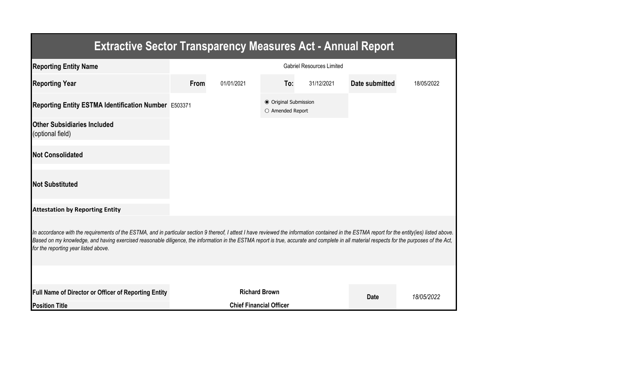| <b>Extractive Sector Transparency Measures Act - Annual Report</b>                                                                                                                                                                                                                                                                                                                                                                    |                                  |                      |                                           |            |                |            |  |
|---------------------------------------------------------------------------------------------------------------------------------------------------------------------------------------------------------------------------------------------------------------------------------------------------------------------------------------------------------------------------------------------------------------------------------------|----------------------------------|----------------------|-------------------------------------------|------------|----------------|------------|--|
| <b>Reporting Entity Name</b>                                                                                                                                                                                                                                                                                                                                                                                                          | <b>Gabriel Resources Limited</b> |                      |                                           |            |                |            |  |
| <b>Reporting Year</b>                                                                                                                                                                                                                                                                                                                                                                                                                 | From                             | 01/01/2021           | To:                                       | 31/12/2021 | Date submitted | 18/05/2022 |  |
| Reporting Entity ESTMA Identification Number E503371                                                                                                                                                                                                                                                                                                                                                                                  |                                  |                      | ● Original Submission<br>O Amended Report |            |                |            |  |
| <b>Other Subsidiaries Included</b><br>(optional field)                                                                                                                                                                                                                                                                                                                                                                                |                                  |                      |                                           |            |                |            |  |
| <b>Not Consolidated</b>                                                                                                                                                                                                                                                                                                                                                                                                               |                                  |                      |                                           |            |                |            |  |
| <b>Not Substituted</b>                                                                                                                                                                                                                                                                                                                                                                                                                |                                  |                      |                                           |            |                |            |  |
| <b>Attestation by Reporting Entity</b>                                                                                                                                                                                                                                                                                                                                                                                                |                                  |                      |                                           |            |                |            |  |
| In accordance with the requirements of the ESTMA, and in particular section 9 thereof, I attest I have reviewed the information contained in the ESTMA report for the entity(ies) listed above.<br>Based on my knowledge, and having exercised reasonable diligence, the information in the ESTMA report is true, accurate and complete in all material respects for the purposes of the Act,<br>for the reporting year listed above. |                                  |                      |                                           |            |                |            |  |
|                                                                                                                                                                                                                                                                                                                                                                                                                                       |                                  |                      |                                           |            |                |            |  |
| <b>Full Name of Director or Officer of Reporting Entity</b>                                                                                                                                                                                                                                                                                                                                                                           |                                  | <b>Richard Brown</b> | <b>Date</b>                               | 18/05/2022 |                |            |  |
| <b>Position Title</b>                                                                                                                                                                                                                                                                                                                                                                                                                 |                                  |                      |                                           |            |                |            |  |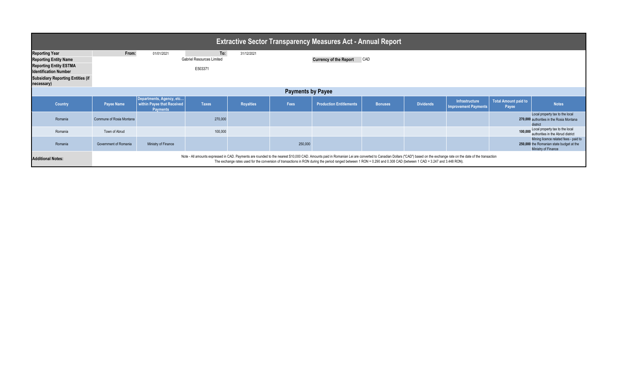| <b>Extractive Sector Transparency Measures Act - Annual Report</b>                                                                                                               |                                                                                                                                                                                                                                                                                                                                                                                                  |                                                                           |                                                    |                  |         |                                |                |                  |                                                      |                                      |                                                                                                          |
|----------------------------------------------------------------------------------------------------------------------------------------------------------------------------------|--------------------------------------------------------------------------------------------------------------------------------------------------------------------------------------------------------------------------------------------------------------------------------------------------------------------------------------------------------------------------------------------------|---------------------------------------------------------------------------|----------------------------------------------------|------------------|---------|--------------------------------|----------------|------------------|------------------------------------------------------|--------------------------------------|----------------------------------------------------------------------------------------------------------|
| <b>Reporting Year</b><br><b>Reporting Entity Name</b><br><b>Reporting Entity ESTMA</b><br><b>Identification Number</b><br><b>Subsidiary Reporting Entities (if</b><br>necessary) | From:                                                                                                                                                                                                                                                                                                                                                                                            | 01/01/2021                                                                | To:<br><b>Gabriel Resources Limited</b><br>E503371 | 31/12/2021       |         | <b>Currency of the Report</b>  | <b>CAD</b>     |                  |                                                      |                                      |                                                                                                          |
| <b>Payments by Payee</b>                                                                                                                                                         |                                                                                                                                                                                                                                                                                                                                                                                                  |                                                                           |                                                    |                  |         |                                |                |                  |                                                      |                                      |                                                                                                          |
| <b>Country</b>                                                                                                                                                                   | <b>Payee Name</b>                                                                                                                                                                                                                                                                                                                                                                                | Departments, Agency, etc<br>within Payee that Received<br><b>Payments</b> | <b>Taxes</b>                                       | <b>Royalties</b> | Fees    | <b>Production Entitlements</b> | <b>Bonuses</b> | <b>Dividends</b> | <b>Infrastructure</b><br><b>Improvement Payments</b> | <b>Total Amount paid to</b><br>Payee | <b>Notes</b>                                                                                             |
| Romania                                                                                                                                                                          | Commune of Rosia Montana                                                                                                                                                                                                                                                                                                                                                                         |                                                                           | 270,000                                            |                  |         |                                |                |                  |                                                      |                                      | Local property tax to the local<br>270,000 authorities in the Rosia Montana<br>district                  |
| Romania                                                                                                                                                                          | Town of Abrud                                                                                                                                                                                                                                                                                                                                                                                    |                                                                           | 100,000                                            |                  |         |                                |                |                  |                                                      | 100,000                              | Local property tax to the local<br>authorities in the Abrud district                                     |
| Romania                                                                                                                                                                          | Government of Romania                                                                                                                                                                                                                                                                                                                                                                            | Ministry of Finance                                                       |                                                    |                  | 250,000 |                                |                |                  |                                                      |                                      | Mining licence related fees - paid to<br>250,000 the Romanian state budget at the<br>Ministry of Finance |
| <b>Additional Notes:</b>                                                                                                                                                         | Note - All amounts expressed in CAD. Payments are rounded to the nearest \$10,000 CAD. Amounts paid in Romanian Lei are converted to Canadian Dollars ("CAD") based on the exchange rate on the date of the transaction<br>The exchange rates used for the conversion of transactions in RON during the period ranged between 1 RON = 0.290 and 0.308 CAD (between 1 CAD = 3.247 and 3.448 RON). |                                                                           |                                                    |                  |         |                                |                |                  |                                                      |                                      |                                                                                                          |